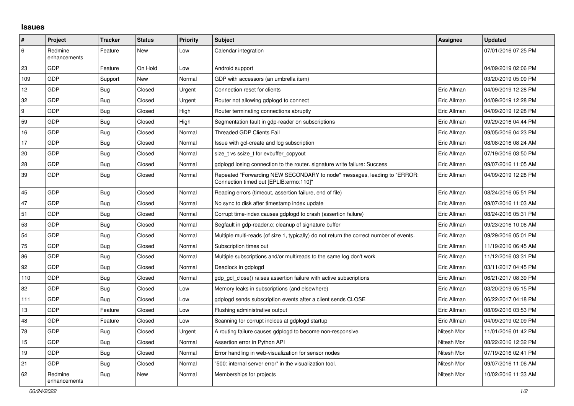## **Issues**

| $\vert$ # | Project                 | <b>Tracker</b> | <b>Status</b> | <b>Priority</b> | <b>Subject</b>                                                                                                      | <b>Assignee</b> | <b>Updated</b>      |
|-----------|-------------------------|----------------|---------------|-----------------|---------------------------------------------------------------------------------------------------------------------|-----------------|---------------------|
| 6         | Redmine<br>enhancements | Feature        | New           | Low             | Calendar integration                                                                                                |                 | 07/01/2016 07:25 PM |
| 23        | GDP                     | Feature        | On Hold       | Low             | Android support                                                                                                     |                 | 04/09/2019 02:06 PM |
| 109       | GDP                     | Support        | New           | Normal          | GDP with accessors (an umbrella item)                                                                               |                 | 03/20/2019 05:09 PM |
| 12        | <b>GDP</b>              | <b>Bug</b>     | Closed        | Urgent          | Connection reset for clients                                                                                        | Eric Allman     | 04/09/2019 12:28 PM |
| 32        | GDP                     | <b>Bug</b>     | Closed        | Urgent          | Router not allowing gdplogd to connect                                                                              | Eric Allman     | 04/09/2019 12:28 PM |
| 9         | GDP                     | Bug            | Closed        | High            | Router terminating connections abruptly                                                                             | Eric Allman     | 04/09/2019 12:28 PM |
| 59        | GDP                     | Bug            | Closed        | High            | Segmentation fault in gdp-reader on subscriptions                                                                   | Eric Allman     | 09/29/2016 04:44 PM |
| 16        | GDP                     | Bug            | Closed        | Normal          | Threaded GDP Clients Fail                                                                                           | Eric Allman     | 09/05/2016 04:23 PM |
| 17        | GDP                     | <b>Bug</b>     | Closed        | Normal          | Issue with gcl-create and log subscription                                                                          | Eric Allman     | 08/08/2016 08:24 AM |
| 20        | GDP                     | <b>Bug</b>     | Closed        | Normal          | size t vs ssize t for evbuffer copyout                                                                              | Eric Allman     | 07/19/2016 03:50 PM |
| 28        | GDP                     | Bug            | Closed        | Normal          | adpload losing connection to the router, signature write failure: Success                                           | Eric Allman     | 09/07/2016 11:05 AM |
| 39        | GDP                     | <b>Bug</b>     | Closed        | Normal          | Repeated "Forwarding NEW SECONDARY to node" messages, leading to "ERROR:<br>Connection timed out [EPLIB:errno:110]" | Eric Allman     | 04/09/2019 12:28 PM |
| 45        | <b>GDP</b>              | Bug            | Closed        | Normal          | Reading errors (timeout, assertion failure, end of file)                                                            | Eric Allman     | 08/24/2016 05:51 PM |
| 47        | GDP                     | <b>Bug</b>     | Closed        | Normal          | No sync to disk after timestamp index update                                                                        | Eric Allman     | 09/07/2016 11:03 AM |
| 51        | GDP                     | Bug            | Closed        | Normal          | Corrupt time-index causes gdplogd to crash (assertion failure)                                                      | Eric Allman     | 08/24/2016 05:31 PM |
| 53        | GDP                     | Bug            | Closed        | Normal          | Segfault in gdp-reader.c; cleanup of signature buffer                                                               | Eric Allman     | 09/23/2016 10:06 AM |
| 54        | GDP                     | Bug            | Closed        | Normal          | Multiple multi-reads (of size 1, typically) do not return the correct number of events.                             | Eric Allman     | 09/29/2016 05:01 PM |
| 75        | GDP                     | <b>Bug</b>     | Closed        | Normal          | Subscription times out                                                                                              | Eric Allman     | 11/19/2016 06:45 AM |
| 86        | GDP                     | <b>Bug</b>     | Closed        | Normal          | Multiple subscriptions and/or multireads to the same log don't work                                                 | Eric Allman     | 11/12/2016 03:31 PM |
| 92        | GDP                     | <b>Bug</b>     | Closed        | Normal          | Deadlock in gdplogd                                                                                                 | Eric Allman     | 03/11/2017 04:45 PM |
| 110       | GDP                     | Bug            | Closed        | Normal          | gdp gcl close() raises assertion failure with active subscriptions                                                  | Eric Allman     | 06/21/2017 08:39 PM |
| 82        | GDP                     | Bug            | Closed        | Low             | Memory leaks in subscriptions (and elsewhere)                                                                       | Eric Allman     | 03/20/2019 05:15 PM |
| 111       | GDP                     | <b>Bug</b>     | Closed        | Low             | adpload sends subscription events after a client sends CLOSE                                                        | Eric Allman     | 06/22/2017 04:18 PM |
| 13        | GDP                     | Feature        | Closed        | Low             | Flushing administrative output                                                                                      | Eric Allman     | 08/09/2016 03:53 PM |
| 48        | GDP                     | Feature        | Closed        | Low             | Scanning for corrupt indices at gdplogd startup                                                                     | Eric Allman     | 04/09/2019 02:09 PM |
| 78        | GDP                     | <b>Bug</b>     | Closed        | Urgent          | A routing failure causes gdplogd to become non-responsive.                                                          | Nitesh Mor      | 11/01/2016 01:42 PM |
| 15        | GDP                     | Bug            | Closed        | Normal          | Assertion error in Python API                                                                                       | Nitesh Mor      | 08/22/2016 12:32 PM |
| 19        | <b>GDP</b>              | <b>Bug</b>     | Closed        | Normal          | Error handling in web-visualization for sensor nodes                                                                | Nitesh Mor      | 07/19/2016 02:41 PM |
| 21        | GDP                     | Bug            | Closed        | Normal          | '500: internal server error" in the visualization tool.                                                             | Nitesh Mor      | 09/07/2016 11:06 AM |
| 62        | Redmine<br>enhancements | Bug            | New           | Normal          | Memberships for projects                                                                                            | Nitesh Mor      | 10/02/2016 11:33 AM |